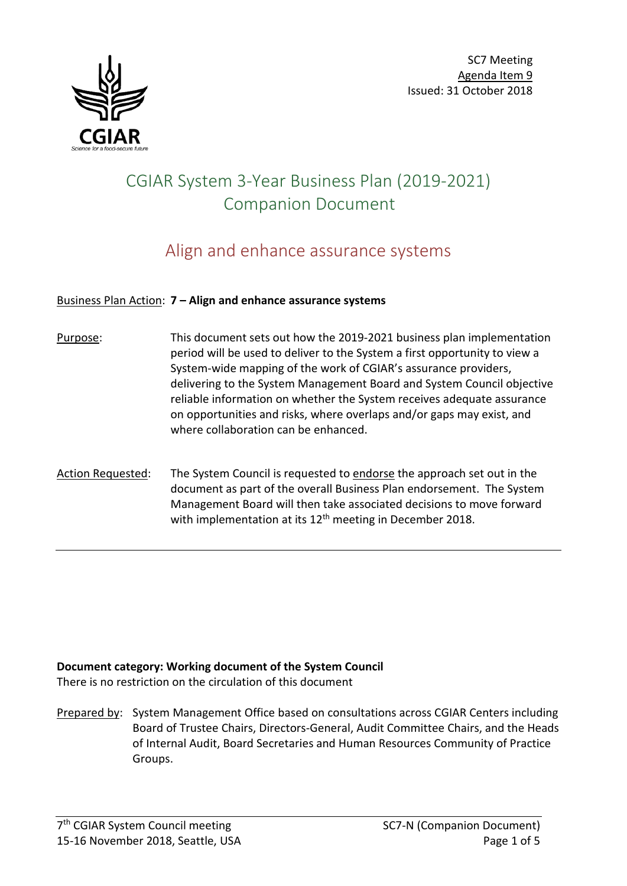



# CGIAR System 3-Year Business Plan (2019-2021) Companion Document

# Align and enhance assurance systems

#### Business Plan Action: **7 – Align and enhance assurance systems**

- Purpose: This document sets out how the 2019-2021 business plan implementation period will be used to deliver to the System a first opportunity to view a System-wide mapping of the work of CGIAR's assurance providers, delivering to the System Management Board and System Council objective reliable information on whether the System receives adequate assurance on opportunities and risks, where overlaps and/or gaps may exist, and where collaboration can be enhanced.
- Action Requested: The System Council is requested to endorse the approach set out in the document as part of the overall Business Plan endorsement. The System Management Board will then take associated decisions to move forward with implementation at its 12<sup>th</sup> meeting in December 2018.

#### **Document category: Working document of the System Council**

There is no restriction on the circulation of this document

Prepared by: System Management Office based on consultations across CGIAR Centers including Board of Trustee Chairs, Directors-General, Audit Committee Chairs, and the Heads of Internal Audit, Board Secretaries and Human Resources Community of Practice Groups.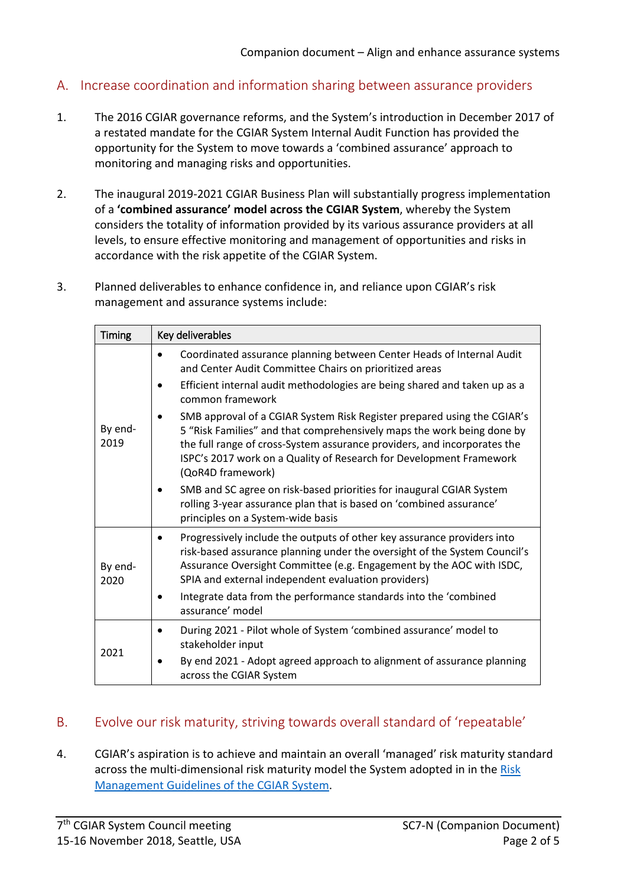# A. Increase coordination and information sharing between assurance providers

- 1. The 2016 CGIAR governance reforms, and the System's introduction in December 2017 of a restated mandate for the CGIAR System Internal Audit Function has provided the opportunity for the System to move towards a 'combined assurance' approach to monitoring and managing risks and opportunities.
- 2. The inaugural 2019-2021 CGIAR Business Plan will substantially progress implementation of a **'combined assurance' model across the CGIAR System**, whereby the System considers the totality of information provided by its various assurance providers at all levels, to ensure effective monitoring and management of opportunities and risks in accordance with the risk appetite of the CGIAR System.
- 3. Planned deliverables to enhance confidence in, and reliance upon CGIAR's risk management and assurance systems include:

| <b>Timing</b>   | Key deliverables                                                                                                                                                                                                                                                                                                          |  |  |  |  |  |  |
|-----------------|---------------------------------------------------------------------------------------------------------------------------------------------------------------------------------------------------------------------------------------------------------------------------------------------------------------------------|--|--|--|--|--|--|
| By end-<br>2019 | Coordinated assurance planning between Center Heads of Internal Audit<br>and Center Audit Committee Chairs on prioritized areas                                                                                                                                                                                           |  |  |  |  |  |  |
|                 | Efficient internal audit methodologies are being shared and taken up as a<br>common framework                                                                                                                                                                                                                             |  |  |  |  |  |  |
|                 | SMB approval of a CGIAR System Risk Register prepared using the CGIAR's<br>5 "Risk Families" and that comprehensively maps the work being done by<br>the full range of cross-System assurance providers, and incorporates the<br>ISPC's 2017 work on a Quality of Research for Development Framework<br>(QoR4D framework) |  |  |  |  |  |  |
|                 | SMB and SC agree on risk-based priorities for inaugural CGIAR System<br>rolling 3-year assurance plan that is based on 'combined assurance'<br>principles on a System-wide basis                                                                                                                                          |  |  |  |  |  |  |
| By end-<br>2020 | Progressively include the outputs of other key assurance providers into<br>risk-based assurance planning under the oversight of the System Council's<br>Assurance Oversight Committee (e.g. Engagement by the AOC with ISDC,<br>SPIA and external independent evaluation providers)                                       |  |  |  |  |  |  |
|                 | Integrate data from the performance standards into the 'combined<br>assurance' model                                                                                                                                                                                                                                      |  |  |  |  |  |  |
| 2021            | During 2021 - Pilot whole of System 'combined assurance' model to<br>stakeholder input                                                                                                                                                                                                                                    |  |  |  |  |  |  |
|                 | By end 2021 - Adopt agreed approach to alignment of assurance planning<br>across the CGIAR System                                                                                                                                                                                                                         |  |  |  |  |  |  |

## B. Evolve our risk maturity, striving towards overall standard of 'repeatable'

4. CGIAR's aspiration is to achieve and maintain an overall 'managed' risk maturity standard across the multi-dimensional risk maturity model the System adopted in in the [Risk](https://www.cgiar.org/wp/wp-content/uploads/2018/07/CGIAR-System_Risk-Mgmt-Guidelines-APPROVED.pdf)  [Management Guidelines of the CGIAR System.](https://www.cgiar.org/wp/wp-content/uploads/2018/07/CGIAR-System_Risk-Mgmt-Guidelines-APPROVED.pdf)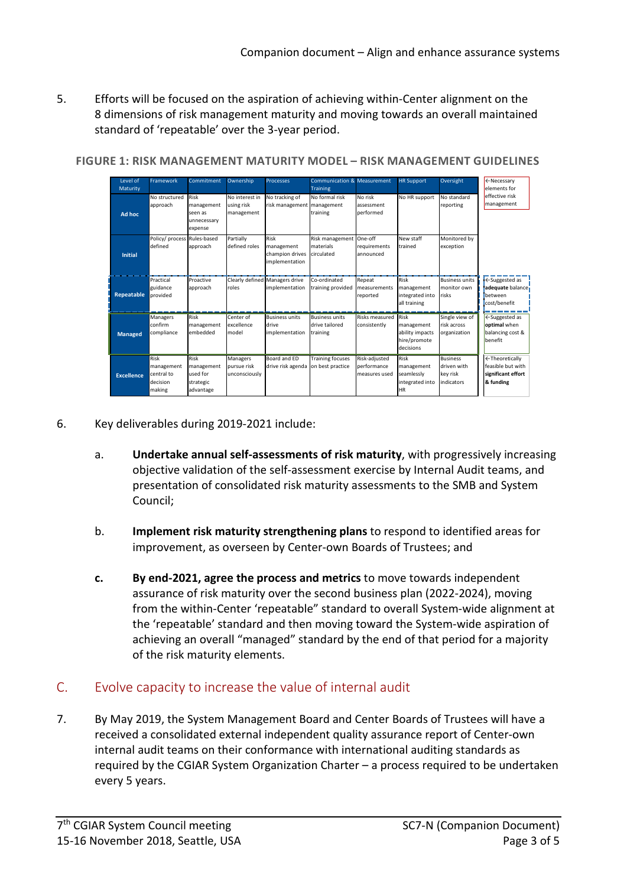5. Efforts will be focused on the aspiration of achieving within-Center alignment on the 8 dimensions of risk management maturity and moving towards an overall maintained standard of 'repeatable' over the 3-year period.

| Level of<br>Maturity<br>Ad hoc | Framework<br>No structured<br>approach                 | Commitment<br>Risk<br>management<br>seen as<br>unnecessary<br>expense | Ownership<br>No interest in<br>using risk<br>management | <b>Processes</b><br>No tracking of<br>risk management   management | <b>Communication &amp; Measurement</b><br><b>Training</b><br>No formal risk<br>training | No risk<br>assessment<br>performed            | <b>HR Support</b><br>No HR support                                 | Oversight<br>No standard<br>reporting               | ←Necessary<br>elements for<br>effective risk<br>management             |
|--------------------------------|--------------------------------------------------------|-----------------------------------------------------------------------|---------------------------------------------------------|--------------------------------------------------------------------|-----------------------------------------------------------------------------------------|-----------------------------------------------|--------------------------------------------------------------------|-----------------------------------------------------|------------------------------------------------------------------------|
| <b>Initial</b>                 | Policy/ process Rules-based<br>defined                 | approach                                                              | Partially<br>defined roles                              | Risk<br>management<br>champion drives<br>implementation            | Risk management One-off<br><b>Imaterials</b><br>circulated                              | requirements<br>announced                     | New staff<br>trained                                               | Monitored by<br>lexception                          |                                                                        |
| <b>Repeatable</b>              | Practical<br>guidance<br>provided                      | Proactive<br>approach                                                 | roles                                                   | Clearly defined Managers drive<br>implementation                   | Co-ordinated<br>training provided                                                       | Repeat<br>measurements<br>reported            | <b>Risk</b><br>management<br>integrated into<br>all training       | <b>Business units</b><br>monitor own<br>risks       | ← Suggested as<br>adequate balance.<br>hetween<br>cost/benefit         |
| <b>Managed</b>                 | Managers<br>confirm<br>compliance                      | Risk<br>management<br>embedded                                        | Center of<br>excellence<br>model                        | <b>Business units</b><br>drive<br>implementation                   | <b>Business units</b><br>drive tailored<br>training                                     | Risks measured<br>consistently                | Risk<br>management<br>ability impacts<br>hire/promote<br>decisions | Single view of<br>risk across<br>organization       | ← Suggested as<br>optimal when<br>balancing cost &<br>benefit          |
| <b>Excellence</b>              | Risk<br>management<br>central to<br>decision<br>making | Risk<br>management<br>used for<br>strategic<br>advantage              | Managers<br>pursue risk<br>unconsciously                | Board and ED<br>drive risk agenda                                  | <b>Training focuses</b><br>on best practice                                             | Risk-adjusted<br>performance<br>measures used | Risk<br>management<br>seamlessly<br>integrated into<br><b>HR</b>   | Business<br>ldriven with<br>kev risk<br>lindicators | ←Theoretically<br>feasible but with<br>significant effort<br>& funding |

**FIGURE 1: RISK MANAGEMENT MATURITY MODEL – RISK MANAGEMENT GUIDELINES**

- 6. Key deliverables during 2019-2021 include:
	- a. **Undertake annual self-assessments of risk maturity**, with progressively increasing objective validation of the self-assessment exercise by Internal Audit teams, and presentation of consolidated risk maturity assessments to the SMB and System Council;
	- b. **Implement risk maturity strengthening plans** to respond to identified areas for improvement, as overseen by Center-own Boards of Trustees; and
	- **c. By end-2021, agree the process and metrics** to move towards independent assurance of risk maturity over the second business plan (2022-2024), moving from the within-Center 'repeatable" standard to overall System-wide alignment at the 'repeatable' standard and then moving toward the System-wide aspiration of achieving an overall "managed" standard by the end of that period for a majority of the risk maturity elements.

## C. Evolve capacity to increase the value of internal audit

7. By May 2019, the System Management Board and Center Boards of Trustees will have a received a consolidated external independent quality assurance report of Center-own internal audit teams on their conformance with international auditing standards as required by the CGIAR System Organization Charter – a process required to be undertaken every 5 years.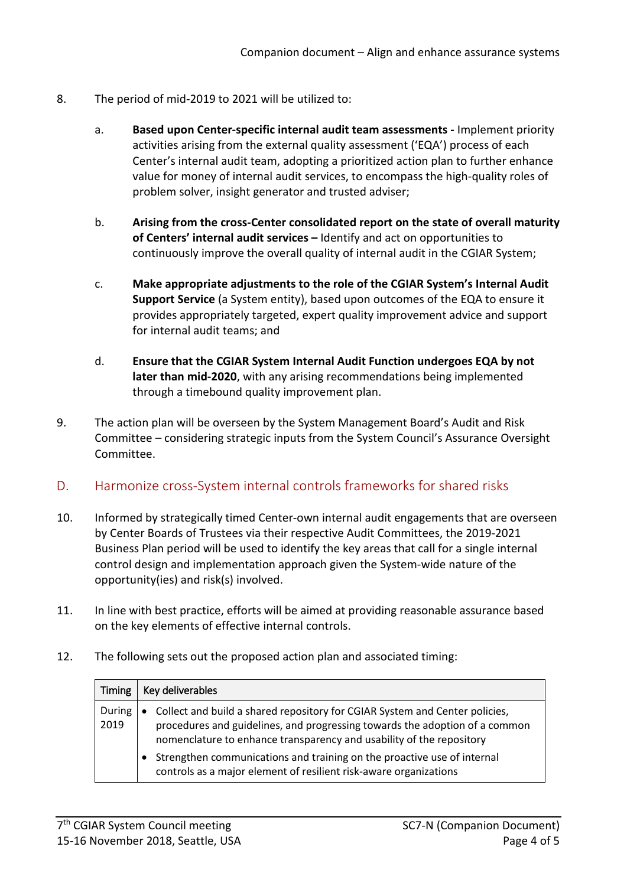- 8. The period of mid-2019 to 2021 will be utilized to:
	- a. **Based upon Center-specific internal audit team assessments -** Implement priority activities arising from the external quality assessment ('EQA') process of each Center's internal audit team, adopting a prioritized action plan to further enhance value for money of internal audit services, to encompass the high-quality roles of problem solver, insight generator and trusted adviser;
	- b. **Arising from the cross-Center consolidated report on the state of overall maturity of Centers' internal audit services –** Identify and act on opportunities to continuously improve the overall quality of internal audit in the CGIAR System;
	- c. **Make appropriate adjustments to the role of the CGIAR System's Internal Audit Support Service** (a System entity), based upon outcomes of the EQA to ensure it provides appropriately targeted, expert quality improvement advice and support for internal audit teams; and
	- d. **Ensure that the CGIAR System Internal Audit Function undergoes EQA by not later than mid-2020**, with any arising recommendations being implemented through a timebound quality improvement plan.
- 9. The action plan will be overseen by the System Management Board's Audit and Risk Committee – considering strategic inputs from the System Council's Assurance Oversight Committee.
- D. Harmonize cross-System internal controls frameworks for shared risks
- 10. Informed by strategically timed Center-own internal audit engagements that are overseen by Center Boards of Trustees via their respective Audit Committees, the 2019-2021 Business Plan period will be used to identify the key areas that call for a single internal control design and implementation approach given the System-wide nature of the opportunity(ies) and risk(s) involved.
- 11. In line with best practice, efforts will be aimed at providing reasonable assurance based on the key elements of effective internal controls.
- 12. The following sets out the proposed action plan and associated timing:

| Timing         | Key deliverables                                                                                                                                                                                                                                |
|----------------|-------------------------------------------------------------------------------------------------------------------------------------------------------------------------------------------------------------------------------------------------|
| During<br>2019 | Collect and build a shared repository for CGIAR System and Center policies,<br>$\bullet$<br>procedures and guidelines, and progressing towards the adoption of a common<br>nomenclature to enhance transparency and usability of the repository |
|                | Strengthen communications and training on the proactive use of internal<br>controls as a major element of resilient risk-aware organizations                                                                                                    |